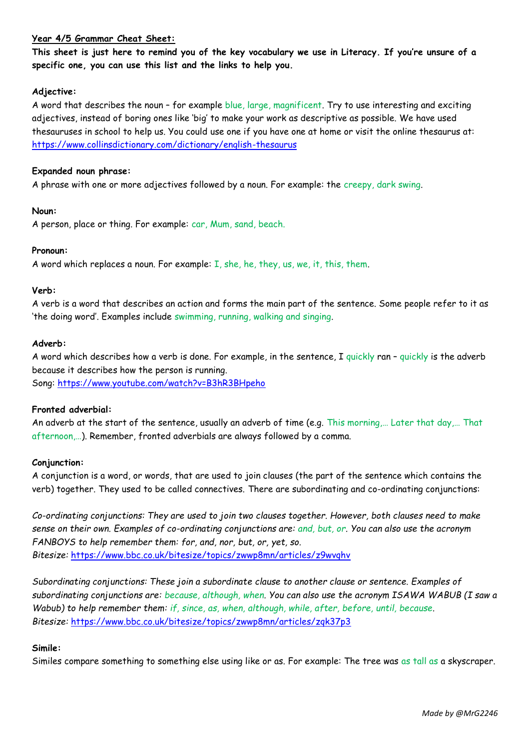### **Year 4/5 Grammar Cheat Sheet:**

**This sheet is just here to remind you of the key vocabulary we use in Literacy. If you're unsure of a specific one, you can use this list and the links to help you.**

### **Adjective:**

A word that describes the noun – for example blue, large, magnificent. Try to use interesting and exciting adjectives, instead of boring ones like 'big' to make your work as descriptive as possible. We have used thesauruses in school to help us. You could use one if you have one at home or visit the online thesaurus at: <https://www.collinsdictionary.com/dictionary/english-thesaurus>

#### **Expanded noun phrase:**

A phrase with one or more adjectives followed by a noun. For example: the creepy, dark swing.

### **Noun:**

A person, place or thing. For example: car, Mum, sand, beach.

### **Pronoun:**

A word which replaces a noun. For example: I, she, he, they, us, we, it, this, them.

### **Verb:**

A verb is a word that describes an action and forms the main part of the sentence. Some people refer to it as 'the doing word'. Examples include swimming, running, walking and singing.

### **Adverb:**

A word which describes how a verb is done. For example, in the sentence, I quickly ran – quickly is the adverb because it describes how the person is running. Song:<https://www.youtube.com/watch?v=B3hR3BHpeho>

# **Fronted adverbial:**

An adverb at the start of the sentence, usually an adverb of time (e.g. This morning,… Later that day,… That afternoon,…). Remember, fronted adverbials are always followed by a comma.

# **Conjunction:**

A conjunction is a word, or words, that are used to join clauses (the part of the sentence which contains the verb) together. They used to be called connectives. There are subordinating and co-ordinating conjunctions:

*Co-ordinating conjunctions: They are used to join two clauses together. However, both clauses need to make sense on their own. Examples of co-ordinating conjunctions are: and, but, or. You can also use the acronym FANBOYS to help remember them: for, and, nor, but, or, yet, so. Bitesize:* <https://www.bbc.co.uk/bitesize/topics/zwwp8mn/articles/z9wvqhv>

*Subordinating conjunctions: These join a subordinate clause to another clause or sentence. Examples of subordinating conjunctions are: because, although, when. You can also use the acronym ISAWA WABUB (I saw a Wabub) to help remember them: if, since, as, when, although, while, after, before, until, because. Bitesize:* <https://www.bbc.co.uk/bitesize/topics/zwwp8mn/articles/zqk37p3>

# **Simile:**

Similes compare something to something else using like or as. For example: The tree was as tall as a skyscraper.